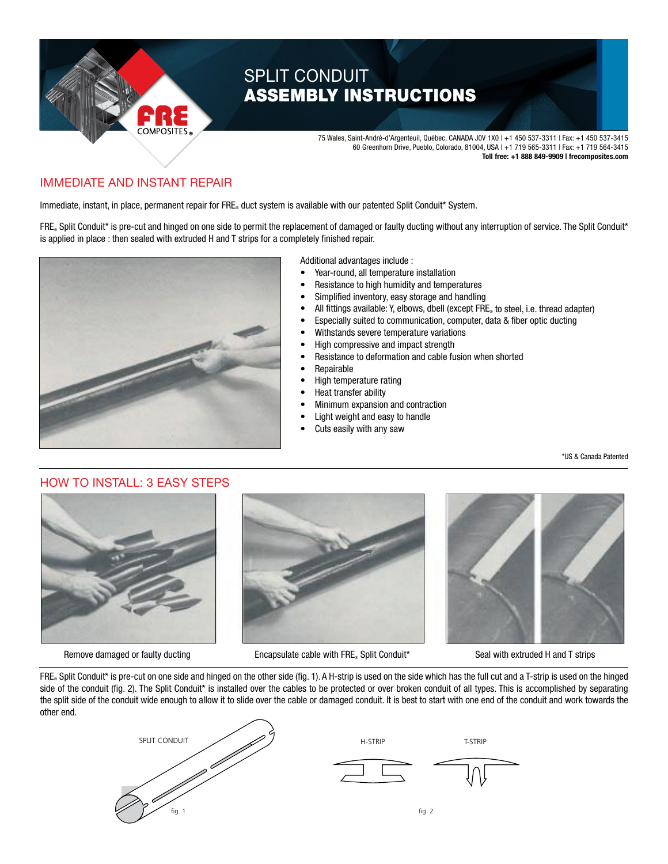

# SPLIT CONDUIT ASSEMBLY INSTRUCTIONS

 75 Wales, Saint-André-d'Argenteuil, Québec, CANADA J0V 1X0 | +1 450 537-3311 | Fax: +1 450 537-3415 60 Greenhorn Drive, Pueblo, Colorado, 81004, USA | +1 719 565-3311 | Fax: +1 719 564-3415 **Toll free: +1 888 849-9909 | frecomposites.com**

### IMMEDIATE AND INSTANT REPAIR  $\overline{ }$

 $r$ RE $_{\circ}$  duct system is available with our patented Split Conduit IMMED IN TERTS TOO INCE IN THE PAIRT TILE.<br>Immediate, instant, in place, permanent repair for FRE® duct system is available with our patented Split Conduit\* System.

FRE. Split Conduit\* is pre-cut and hinged on one side to permit the replacement of damaged or faulty ducting without any interruption of service. The Split Conduit\* is applied in place : then sealed with extruded H and T strips for a completely finished repair.



Additional advantages include :

- Year-round, all temperature installation
- Resistance to high humidity and temperatures
- Simplified inventory, easy storage and handling
- All fittings available: Y, elbows, dbell (except FRE® to steel, i.e. thread adapter)
- Especially suited to communication, computer, data & fiber optic ducting
- Withstands severe temperature variations
- High compressive and impact strength
- Resistance to deformation and cable fusion when shorted
- **Repairable**
- High temperature rating
- Heat transfer ability
- Minimum expansion and contraction
- Light weight and easy to handle
- Cuts easily with any saw

\*US & Canada Patented

# HOW TO INSTALL: 3 EASY STEPS





Remove damaged or faulty ducting Encapsulate cable with FRE<sub>®</sub> Split Conduit\* Seal with extruded H and T strips



FRE. Split Conduit\* is pre-cut on one side and hinged on the other side (fig. 1). A H-strip is used on the side which has the full cut and a T-strip is used on the hinged side of the conduit (fig. 2). The Split Conduit\* is installed over the cables to be protected or over broken conduit of all types. This is accomplished by separating the split side of the conduit wide enough to allow it to slide over the cable or damaged conduit. It is best to start with one end of the conduit and work towards the other end.

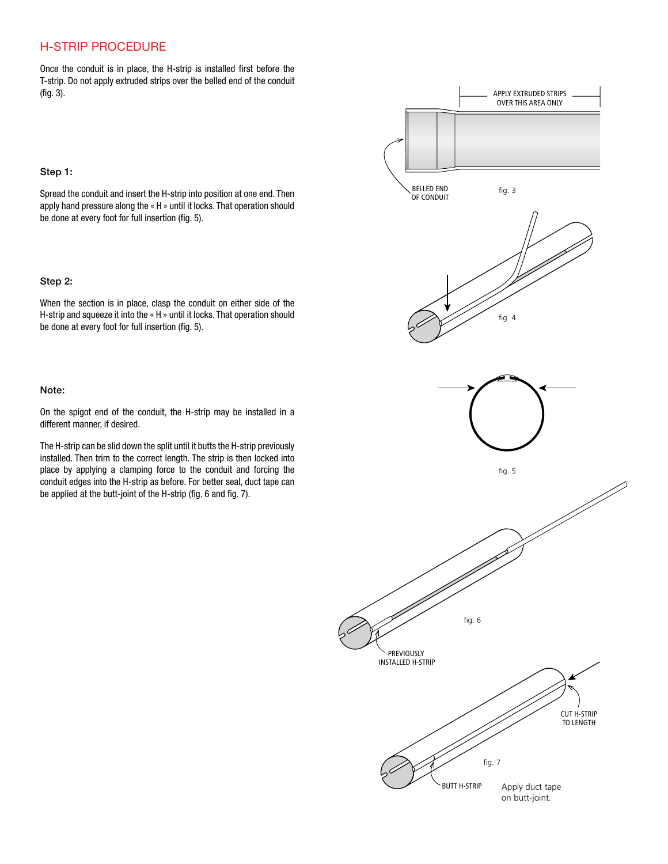## H-STRIP PROCEDURE

Once the conduit is in place, the H-strip is installed first before the T-strip. Do not apply extruded strips over the belled end of the conduit (fig. 3).



#### Step 1:

Spread the conduit and insert the H-strip into position at one end. Then apply hand pressure along the « H » until it locks. That operation should be done at every foot for full insertion (fig. 5).

#### Step 2:

When the section is in place, clasp the conduit on either side of the H-strip and squeeze it into the « H » until it locks. That operation should be done at every foot for full insertion (fig. 5).

#### Note:

On the spigot end of the conduit, the H-strip may be installed in a different manner, if desired.

The H-strip can be slid down the split until it butts the H-strip previously installed. Then trim to the correct length. The strip is then locked into place by applying a clamping force to the conduit and forcing the conduit edges into the H-strip as before. For better seal, duct tape can be applied at the butt-joint of the H-strip (fig. 6 and fig. 7).